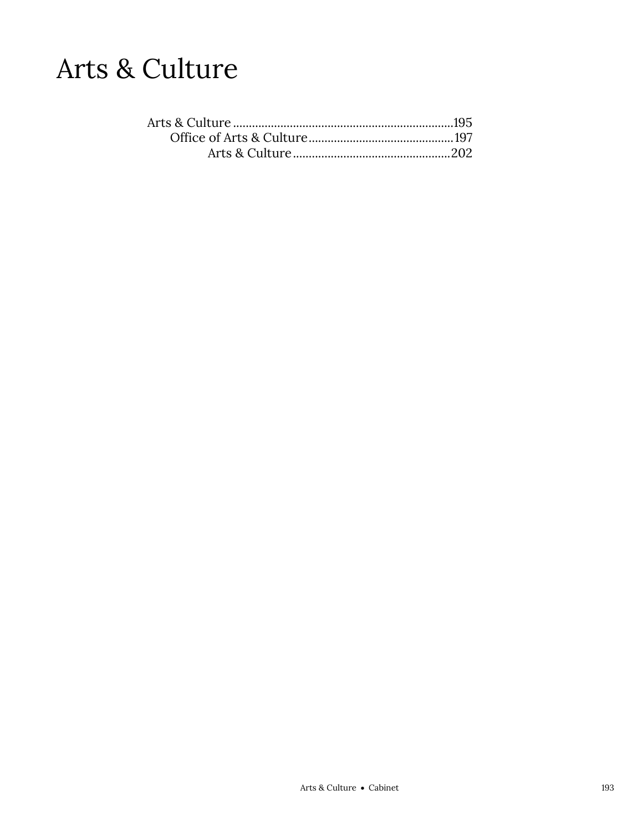## Arts & Culture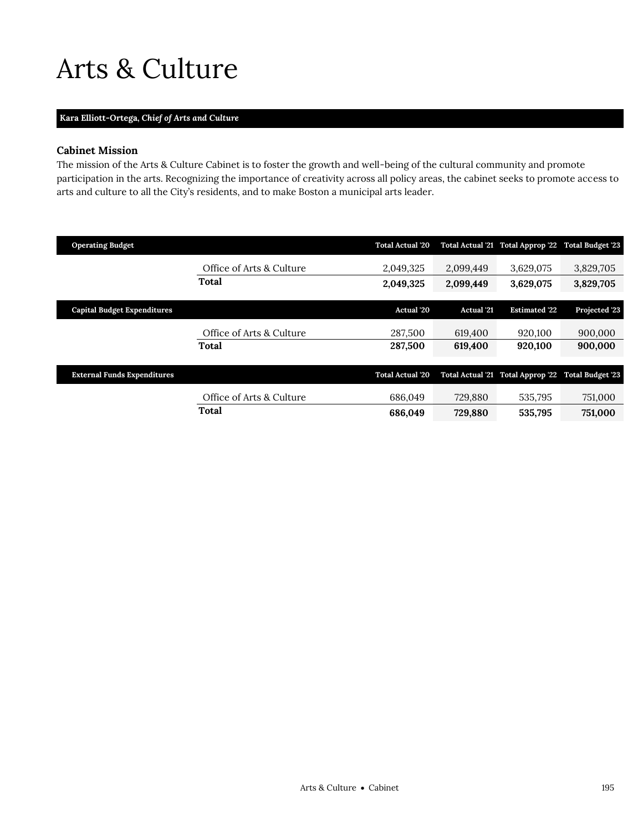## <span id="page-2-0"></span>Arts & Culture

## **Kara Elliott-Ortega,** *Chief of Arts and Culture*

## **Cabinet Mission**

The mission of the Arts & Culture Cabinet is to foster the growth and well-being of the cultural community and promote participation in the arts. Recognizing the importance of creativity across all policy areas, the cabinet seeks to promote access to arts and culture to all the City's residents, and to make Boston a municipal arts leader.

| <b>Operating Budget</b>            |                          | <b>Total Actual '20</b> |                   | Total Actual '21 Total Approp '22 Total Budget '23 |               |
|------------------------------------|--------------------------|-------------------------|-------------------|----------------------------------------------------|---------------|
|                                    | Office of Arts & Culture | 2,049,325               | 2,099,449         | 3,629,075                                          | 3,829,705     |
|                                    | <b>Total</b>             | 2,049,325               | 2,099,449         | 3,629,075                                          | 3,829,705     |
|                                    |                          |                         |                   |                                                    |               |
| <b>Capital Budget Expenditures</b> |                          | <b>Actual '20</b>       | <b>Actual</b> '21 | <b>Estimated '22</b>                               | Projected '23 |
|                                    |                          |                         |                   |                                                    |               |
|                                    | Office of Arts & Culture | 287,500                 | 619,400           | 920,100                                            | 900,000       |
|                                    | <b>Total</b>             | 287,500                 | 619,400           | 920,100                                            | 900,000       |
|                                    |                          |                         |                   |                                                    |               |
| <b>External Funds Expenditures</b> |                          | <b>Total Actual '20</b> |                   | Total Actual '21 Total Approp '22 Total Budget '23 |               |
|                                    |                          |                         |                   |                                                    |               |
|                                    | Office of Arts & Culture | 686.049                 | 729,880           | 535,795                                            | 751,000       |
|                                    | <b>Total</b>             | 686,049                 | 729,880           | 535.795                                            | 751,000       |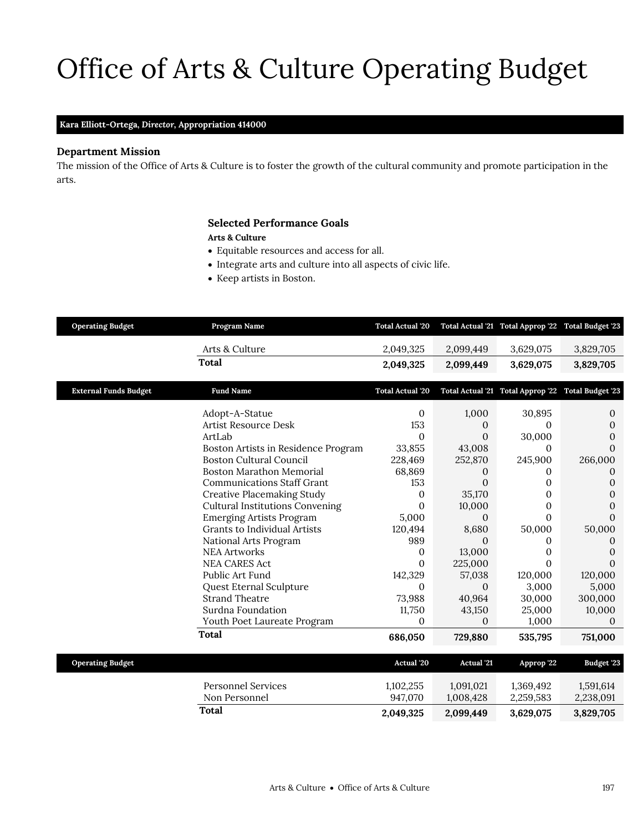# Office of Arts & Culture Operating Budget

#### **Kara Elliott-Ortega,** *Director,* **Appropriation 414000**

## **Department Mission**

 $\mathcal{O}(\mathcal{O}_\mathcal{A})$  of  $\mathcal{O}_\mathcal{A}$  are  $\mathcal{O}_\mathcal{A}$  of  $\mathcal{O}_\mathcal{A}$ 

The mission of the Office of Arts & Culture is to foster the growth of the cultural community and promote participation in the arts.

## <span id="page-4-0"></span>**Selected Performance Goals**

**Arts & Culture**

- Equitable resources and access for all.
- Integrate arts and culture into all aspects of civic life.
- Keep artists in Boston.

| <b>Operating Budget</b>      | Program Name                                                          | <b>Total Actual '20</b> |                      | Total Actual '21 Total Approp '22 Total Budget '23 |                         |
|------------------------------|-----------------------------------------------------------------------|-------------------------|----------------------|----------------------------------------------------|-------------------------|
|                              | Arts & Culture                                                        | 2,049,325               | 2,099,449            | 3,629,075                                          | 3,829,705               |
|                              | <b>Total</b>                                                          | 2,049,325               | 2,099,449            | 3,629,075                                          | 3,829,705               |
| <b>External Funds Budget</b> | <b>Fund Name</b>                                                      | <b>Total Actual '20</b> |                      | Total Actual '21 Total Approp '22                  | <b>Total Budget '23</b> |
|                              |                                                                       |                         |                      |                                                    |                         |
|                              | Adopt-A-Statue<br>Artist Resource Desk                                | $\mathbf{0}$<br>153     | 1,000                | 30,895                                             | $\Omega$                |
|                              | ArtLab                                                                | $\Omega$                | $\theta$<br>$\Omega$ | 0                                                  | 0<br>0                  |
|                              |                                                                       | 33,855                  | 43,008               | 30,000<br>0                                        | $\Omega$                |
|                              | Boston Artists in Residence Program<br><b>Boston Cultural Council</b> | 228,469                 | 252,870              | 245,900                                            | 266,000                 |
|                              | <b>Boston Marathon Memorial</b>                                       | 68,869                  | 0                    | 0                                                  | 0                       |
|                              | <b>Communications Staff Grant</b>                                     | 153                     | $\mathbf{0}$         | 0                                                  | 0                       |
|                              | <b>Creative Placemaking Study</b>                                     | 0                       | 35,170               | 0                                                  | 0                       |
|                              | <b>Cultural Institutions Convening</b>                                | 0                       | 10,000               | 0                                                  | 0                       |
|                              | <b>Emerging Artists Program</b>                                       | 5,000                   | $\Omega$             | 0                                                  | 0                       |
|                              | Grants to Individual Artists                                          | 120,494                 | 8,680                | 50,000                                             | 50,000                  |
|                              | National Arts Program                                                 | 989                     | $\Omega$             | 0                                                  | 0                       |
|                              | <b>NEA Artworks</b>                                                   | 0                       | 13,000               | 0                                                  | $\Omega$                |
|                              | <b>NEA CARES Act</b>                                                  | $\Omega$                | 225,000              | 0                                                  | 0                       |
|                              | Public Art Fund                                                       | 142,329                 | 57,038               | 120,000                                            | 120,000                 |
|                              | Quest Eternal Sculpture                                               | 0                       | $\mathbf{0}$         | 3,000                                              | 5,000                   |
|                              | <b>Strand Theatre</b>                                                 | 73,988                  | 40,964               | 30,000                                             | 300,000                 |
|                              | Surdna Foundation                                                     | 11,750                  | 43,150               | 25,000                                             | 10,000                  |
|                              | Youth Poet Laureate Program                                           | $\Omega$                | $\Omega$             | 1,000                                              | 0                       |
|                              | <b>Total</b>                                                          |                         |                      |                                                    |                         |
|                              |                                                                       | 686,050                 | 729,880              | 535,795                                            | 751,000                 |
| <b>Operating Budget</b>      |                                                                       | Actual '20              | <b>Actual</b> '21    | Approp '22                                         | Budget '23              |
|                              |                                                                       |                         |                      |                                                    |                         |
|                              | <b>Personnel Services</b>                                             | 1,102,255               | 1,091,021            | 1,369,492                                          | 1,591,614               |
|                              | Non Personnel                                                         | 947,070                 | 1,008,428            | 2,259,583                                          | 2,238,091               |

**Total 2,049,325 2,099,449 3,629,075 3,829,705**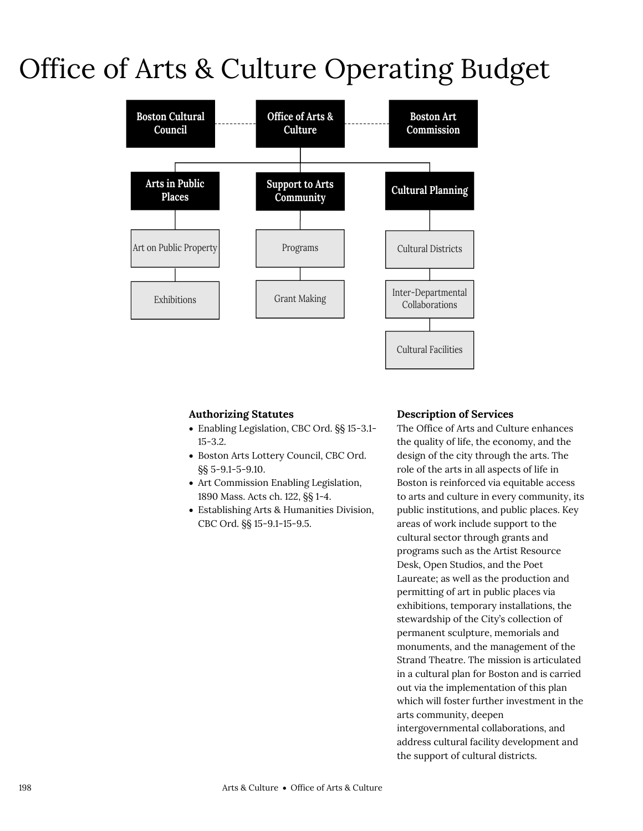## Office of Arts & Culture Operating Budget



## **Authorizing Statutes**

- Enabling Legislation, CBC Ord. §§ 15-3.1- 15-3.2.
- Boston Arts Lottery Council, CBC Ord. §§ 5-9.1-5-9.10.
- Art Commission Enabling Legislation, 1890 Mass. Acts ch. 122, §§ 1-4.
- Establishing Arts & Humanities Division, CBC Ord. §§ 15-9.1-15-9.5.

## **Description of Services**

The Office of Arts and Culture enhances the quality of life, the economy, and the design of the city through the arts. The role of the arts in all aspects of life in Boston is reinforced via equitable access to arts and culture in every community, its public institutions, and public places. Key areas of work include support to the cultural sector through grants and programs such as the Artist Resource Desk, Open Studios, and the Poet Laureate; as well as the production and permitting of art in public places via exhibitions, temporary installations, the stewardship of the City's collection of permanent sculpture, memorials and monuments, and the management of the Strand Theatre. The mission is articulated in a cultural plan for Boston and is carried out via the implementation of this plan which will foster further investment in the arts community, deepen intergovernmental collaborations, and address cultural facility development and the support of cultural districts.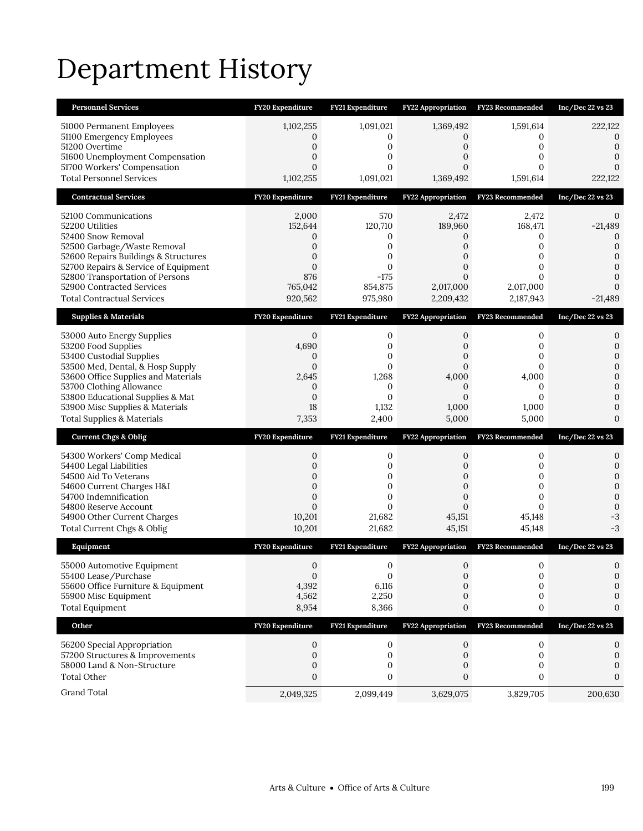# Department History

| <b>Personnel Services</b>                                                                                                                                                                                                                                                         | FY20 Expenditure                                                                                    | FY21 Expenditure                                                                        | <b>FY22 Appropriation</b>                                                                                   | <b>FY23 Recommended</b>                                                               | Inc/Dec 22 vs 23                                                                       |
|-----------------------------------------------------------------------------------------------------------------------------------------------------------------------------------------------------------------------------------------------------------------------------------|-----------------------------------------------------------------------------------------------------|-----------------------------------------------------------------------------------------|-------------------------------------------------------------------------------------------------------------|---------------------------------------------------------------------------------------|----------------------------------------------------------------------------------------|
| 51000 Permanent Employees<br>51100 Emergency Employees<br>51200 Overtime<br>51600 Unemployment Compensation<br>51700 Workers' Compensation<br><b>Total Personnel Services</b>                                                                                                     | 1,102,255<br>0<br>0<br>0<br>$\overline{0}$<br>1,102,255                                             | 1,091,021<br>0<br>$\mathbf{0}$<br>0<br>0<br>1,091,021                                   | 1,369,492<br>0<br>0<br>0<br>$\overline{0}$<br>1,369,492                                                     | 1,591,614<br>0<br>0<br>0<br>$\Omega$<br>1,591,614                                     | 222,122<br>0<br>$\mathbf{0}$<br>0<br>$\Omega$<br>222,122                               |
| <b>Contractual Services</b>                                                                                                                                                                                                                                                       | FY20 Expenditure                                                                                    | FY21 Expenditure                                                                        | <b>FY22 Appropriation</b>                                                                                   | <b>FY23 Recommended</b>                                                               | $Inc/Dec$ 22 vs 23                                                                     |
| 52100 Communications<br>52200 Utilities<br>52400 Snow Removal<br>52500 Garbage/Waste Removal<br>52600 Repairs Buildings & Structures<br>52700 Repairs & Service of Equipment<br>52800 Transportation of Persons<br>52900 Contracted Services<br><b>Total Contractual Services</b> | 2,000<br>152,644<br>0<br>0<br>0<br>$\mathbf{0}$<br>876<br>765,042<br>920,562                        | 570<br>120,710<br>0<br>$\mathbf 0$<br>0<br>$\mathbf{0}$<br>$-175$<br>854,875<br>975,980 | 2,472<br>189,960<br>0<br>$\mathbf{0}$<br>$\mathbf{0}$<br>$\mathbf{0}$<br>$\Omega$<br>2,017,000<br>2,209,432 | 2,472<br>168,471<br>0<br>$\mathbf{0}$<br>0<br>0<br>$\Omega$<br>2,017,000<br>2,187,943 | 0<br>$-21,489$<br>0<br>0<br>0<br>$\mathbf{0}$<br>$\Omega$<br>$-21,489$                 |
| <b>Supplies &amp; Materials</b>                                                                                                                                                                                                                                                   | FY20 Expenditure                                                                                    | FY21 Expenditure                                                                        | <b>FY22 Appropriation</b>                                                                                   | <b>FY23 Recommended</b>                                                               | Inc/Dec 22 vs 23                                                                       |
| 53000 Auto Energy Supplies<br>53200 Food Supplies<br>53400 Custodial Supplies<br>53500 Med, Dental, & Hosp Supply<br>53600 Office Supplies and Materials<br>53700 Clothing Allowance<br>53800 Educational Supplies & Mat                                                          | $\mathbf 0$<br>4,690<br>$\mathbf 0$<br>$\mathbf{0}$<br>2,645<br>$\mathbf 0$<br>$\mathbf{0}$         | 0<br>0<br>0<br>0<br>1,268<br>$\mathbf{0}$<br>$\mathbf{0}$                               | 0<br>0<br>0<br>0<br>4,000<br>$\mathbf{0}$<br>$\Omega$                                                       | 0<br>$\mathbf{0}$<br>0<br>0<br>4,000<br>$\mathbf{0}$<br>$\Omega$                      | 0<br>$\mathbf{0}$<br>$\mathbf{0}$<br>0<br>$\mathbf{0}$<br>$\mathbf{0}$<br>$\mathbf{0}$ |
| 53900 Misc Supplies & Materials<br><b>Total Supplies &amp; Materials</b>                                                                                                                                                                                                          | 18<br>7,353                                                                                         | 1,132<br>2,400                                                                          | 1,000<br>5,000                                                                                              | 1,000<br>5,000                                                                        | 0<br>$\mathbf{0}$                                                                      |
| <b>Current Chgs &amp; Oblig</b>                                                                                                                                                                                                                                                   | FY20 Expenditure                                                                                    | FY21 Expenditure                                                                        | FY22 Appropriation                                                                                          | FY23 Recommended                                                                      | Inc/Dec 22 vs 23                                                                       |
| 54300 Workers' Comp Medical<br>54400 Legal Liabilities<br>54500 Aid To Veterans<br>54600 Current Charges H&I<br>54700 Indemnification<br>54800 Reserve Account<br>54900 Other Current Charges<br>Total Current Chgs & Oblig                                                       | $\boldsymbol{0}$<br>$\mathbf 0$<br>0<br>$\mathbf 0$<br>$\mathbf{0}$<br>$\Omega$<br>10,201<br>10,201 | 0<br>$\mathbf 0$<br>0<br>$\mathbf{0}$<br>$\mathbf 0$<br>$\Omega$<br>21,682<br>21,682    | $\boldsymbol{0}$<br>$\mathbf{0}$<br>0<br>0<br>$\mathbf{0}$<br>$\Omega$<br>45,151<br>45,151                  | 0<br>0<br>0<br>0<br>$\mathbf 0$<br>$\Omega$<br>45,148<br>45,148                       | 0<br>0<br>$\mathbf{0}$<br>$\mathbf{0}$<br>$\mathbf{0}$<br>$\mathbf{0}$<br>$-3$<br>-3   |
| Equipment                                                                                                                                                                                                                                                                         | FY20 Expenditure                                                                                    | FY21 Expenditure                                                                        | <b>FY22 Appropriation</b>                                                                                   | FY23 Recommended                                                                      | Inc/Dec 22 vs 23                                                                       |
| 55000 Automotive Equipment<br>55400 Lease/Purchase<br>55600 Office Furniture & Equipment<br>55900 Misc Equipment<br><b>Total Equipment</b>                                                                                                                                        | $\mathbf 0$<br>$\mathbf{0}$<br>4,392<br>4,562<br>8,954                                              | $\mathbf 0$<br>$\mathbf{0}$<br>6,116<br>2,250<br>8,366                                  | $\mathbf 0$<br>$\mathbf 0$<br>$\Omega$<br>0<br>$\boldsymbol{0}$                                             | $\mathbf{0}$<br>0<br>$\mathbf{0}$<br>0<br>0                                           | $\mathbf 0$<br>$\boldsymbol{0}$<br>0<br>0<br>$\mathbf 0$                               |
| Other                                                                                                                                                                                                                                                                             | FY20 Expenditure                                                                                    | FY21 Expenditure                                                                        | <b>FY22 Appropriation</b>                                                                                   | FY23 Recommended                                                                      | Inc/Dec 22 vs 23                                                                       |
| 56200 Special Appropriation<br>57200 Structures & Improvements<br>58000 Land & Non-Structure<br><b>Total Other</b><br>Grand Total                                                                                                                                                 | 0<br>$\mathbf 0$<br>0<br>0                                                                          | $\mathbf 0$<br>$\mathbf 0$<br>0<br>0                                                    | 0<br>$\mathbf 0$<br>0<br>0<br>3,629,075                                                                     | 0<br>0<br>0<br>0<br>3,829,705                                                         | 0<br>0<br>0<br>0<br>200,630                                                            |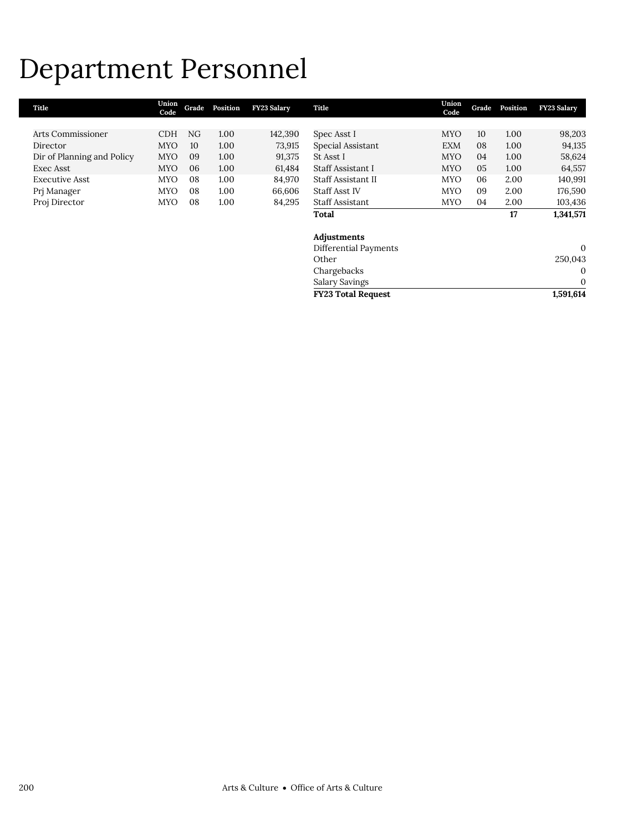## Department Personnel

| <b>Title</b>               | Union<br>Code | Grade     | Position | <b>FY23 Salary</b> | <b>Title</b>              | Union<br>Code | Grade | Position | FY23 Salary      |
|----------------------------|---------------|-----------|----------|--------------------|---------------------------|---------------|-------|----------|------------------|
|                            |               |           |          |                    |                           |               |       |          |                  |
| Arts Commissioner          | CDH.          | <b>NG</b> | 1.00     | 142,390            | Spec Asst I               | <b>MYO</b>    | 10    | 1.00     | 98,203           |
| Director                   | <b>MYO</b>    | 10        | 1.00     | 73,915             | Special Assistant         | <b>EXM</b>    | 08    | 1.00     | 94,135           |
| Dir of Planning and Policy | <b>MYO</b>    | 09        | 1.00     | 91,375             | St Asst I                 | <b>MYO</b>    | 04    | 1.00     | 58,624           |
| Exec Asst                  | <b>MYO</b>    | 06        | 1.00     | 61,484             | Staff Assistant I         | <b>MYO</b>    | 05    | 1.00     | 64,557           |
| <b>Executive Asst</b>      | <b>MYO</b>    | 08        | 1.00     | 84,970             | Staff Assistant II        | <b>MYO</b>    | 06    | 2.00     | 140,991          |
| Prj Manager                | <b>MYO</b>    | 08        | 1.00     | 66,606             | <b>Staff Asst IV</b>      | <b>MYO</b>    | 09    | 2.00     | 176,590          |
| Proj Director              | <b>MYO</b>    | 08        | 1.00     | 84,295             | Staff Assistant           | <b>MYO</b>    | 04    | 2.00     | 103,436          |
|                            |               |           |          |                    | Total                     |               |       | 17       | 1,341,571        |
|                            |               |           |          |                    | Adjustments               |               |       |          |                  |
|                            |               |           |          |                    | Differential Payments     |               |       |          | $\boldsymbol{0}$ |
|                            |               |           |          |                    | Other                     |               |       |          | 250,043          |
|                            |               |           |          |                    | Chargebacks               |               |       |          | $\mathbf{0}$     |
|                            |               |           |          |                    | <b>Salary Savings</b>     |               |       |          | $\mathbf 0$      |
|                            |               |           |          |                    | <b>FY23 Total Request</b> |               |       |          | 1,591,614        |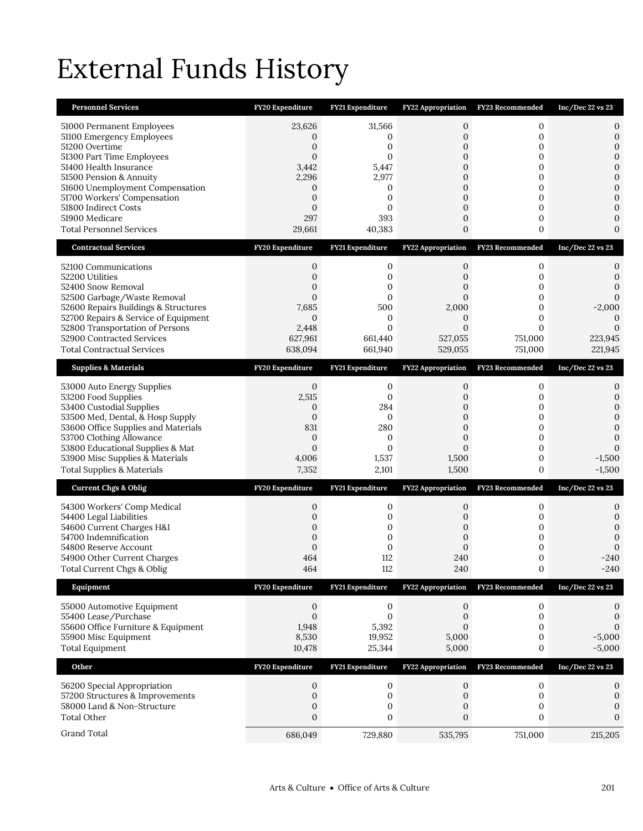# External Funds History

| <b>Personnel Services</b>                                                                                                                                                                                                                                                                                 | FY20 Expenditure                                                                                   | FY21 Expenditure                                                                      | <b>FY22 Appropriation</b>                                                               | FY23 Recommended                                                   | $Inc/Dec$ 22 vs 23                                                                                                                                                        |
|-----------------------------------------------------------------------------------------------------------------------------------------------------------------------------------------------------------------------------------------------------------------------------------------------------------|----------------------------------------------------------------------------------------------------|---------------------------------------------------------------------------------------|-----------------------------------------------------------------------------------------|--------------------------------------------------------------------|---------------------------------------------------------------------------------------------------------------------------------------------------------------------------|
| 51000 Permanent Employees<br>51100 Emergency Employees<br>51200 Overtime<br>51300 Part Time Employees<br>51400 Health Insurance<br>51500 Pension & Annuity<br>51600 Unemployment Compensation<br>51700 Workers' Compensation<br>51800 Indirect Costs<br>51900 Medicare<br><b>Total Personnel Services</b> | 23,626<br>0<br>0<br>$\Omega$<br>3,442<br>2,296<br>0<br>0<br>$\mathbf{0}$<br>297<br>29,661          | 31,566<br>0<br>0<br>$\Omega$<br>5,447<br>2,977<br>0<br>0<br>$\Omega$<br>393<br>40,383 | 0<br>$\mathbf 0$<br>$\overline{0}$<br>0<br>0<br>0<br>$\overline{0}$<br>0<br>0<br>0<br>0 | 0<br>$\mathbf 0$<br>0<br>0<br>0<br>0<br>0<br>0<br>0<br>0<br>0      | 0<br>$\mathbf{0}$<br>$\mathbf{0}$<br>$\mathbf{0}$<br>$\boldsymbol{0}$<br>$\boldsymbol{0}$<br>$\mathbf{0}$<br>$\mathbf{0}$<br>$\mathbf{0}$<br>$\mathbf{0}$<br>$\mathbf{0}$ |
| <b>Contractual Services</b>                                                                                                                                                                                                                                                                               | FY20 Expenditure                                                                                   | FY21 Expenditure                                                                      | FY22 Appropriation                                                                      | <b>FY23 Recommended</b>                                            | $Inc/Dec$ 22 vs 23                                                                                                                                                        |
| 52100 Communications<br>52200 Utilities<br>52400 Snow Removal<br>52500 Garbage/Waste Removal<br>52600 Repairs Buildings & Structures<br>52700 Repairs & Service of Equipment<br>52800 Transportation of Persons<br>52900 Contracted Services<br><b>Total Contractual Services</b>                         | 0<br>$\overline{0}$<br>0<br>$\overline{0}$<br>7,685<br>$\mathbf{0}$<br>2,448<br>627,961<br>638,094 | 0<br>0<br>0<br>0<br>500<br>0<br>0<br>661,440<br>661,940                               | 0<br>0<br>0<br>0<br>2,000<br>0<br>0<br>527,055<br>529,055                               | $\mathbf 0$<br>0<br>0<br>0<br>0<br>0<br>0<br>751,000<br>751,000    | 0<br>0<br>$\mathbf{0}$<br>$\mathbf{0}$<br>$-2,000$<br>$\Omega$<br>$\mathbf{0}$<br>223,945<br>221,945                                                                      |
| <b>Supplies &amp; Materials</b>                                                                                                                                                                                                                                                                           | FY20 Expenditure                                                                                   | FY21 Expenditure                                                                      | FY22 Appropriation                                                                      | FY23 Recommended                                                   | $Inc/Dec$ 22 vs 23                                                                                                                                                        |
| 53000 Auto Energy Supplies<br>53200 Food Supplies<br>53400 Custodial Supplies<br>53500 Med, Dental, & Hosp Supply<br>53600 Office Supplies and Materials<br>53700 Clothing Allowance<br>53800 Educational Supplies & Mat<br>53900 Misc Supplies & Materials<br>Total Supplies & Materials                 | $\mathbf 0$<br>2,515<br>0<br>$\mathbf{0}$<br>831<br>0<br>0<br>4,006<br>7,352                       | 0<br>$\mathbf{0}$<br>284<br>$\mathbf{0}$<br>280<br>0<br>0<br>1,537<br>2,101           | 0<br>0<br>0<br>$\overline{0}$<br>0<br>0<br>0<br>1,500<br>1,500                          | 0<br>0<br>0<br>0<br>0<br>0<br>$\mathbf 0$<br>$\boldsymbol{0}$<br>0 | 0<br>0<br>$\mathbf{0}$<br>$\mathbf{0}$<br>$\mathbf{0}$<br>$\mathbf{0}$<br>$\Omega$<br>$-1,500$<br>$-1,500$                                                                |
| <b>Current Chgs &amp; Oblig</b>                                                                                                                                                                                                                                                                           | FY20 Expenditure                                                                                   | FY21 Expenditure                                                                      | <b>FY22 Appropriation</b>                                                               | FY23 Recommended                                                   | $Inc/Dec$ 22 vs 23                                                                                                                                                        |
| 54300 Workers' Comp Medical<br>54400 Legal Liabilities<br>54600 Current Charges H&I<br>54700 Indemnification<br>54800 Reserve Account<br>54900 Other Current Charges<br>Total Current Chgs & Oblig                                                                                                        | 0<br>0<br>0<br>$\mathbf{0}$<br>$\Omega$<br>464<br>464                                              | 0<br>0<br>0<br>0<br>0<br>112<br>112                                                   | 0<br>$\mathbf 0$<br>$\mathbf 0$<br>0<br>$\mathbf{0}$<br>240<br>240                      | $\mathbf 0$<br>$\mathbf 0$<br>0<br>0<br>0<br>0<br>0                | 0<br>0<br>$\mathbf 0$<br>$\mathbf{0}$<br>$\mathbf{0}$<br>$-240$<br>$-240$                                                                                                 |
| Equipment                                                                                                                                                                                                                                                                                                 | FY20 Expenditure                                                                                   | <b>FY21 Expenditure</b>                                                               | <b>FY22 Appropriation</b>                                                               | FY23 Recommended                                                   | Inc/Dec 22 vs 23                                                                                                                                                          |
| 55000 Automotive Equipment<br>55400 Lease/Purchase<br>55600 Office Furniture & Equipment<br>55900 Misc Equipment<br><b>Total Equipment</b>                                                                                                                                                                | $\mathbf{0}$<br>$\mathbf{0}$<br>1,948<br>8,530<br>10,478                                           | $\mathbf{0}$<br>$\mathbf{0}$<br>5,392<br>19,952<br>25,344                             | $\boldsymbol{0}$<br>$\mathbf 0$<br>$\overline{0}$<br>5,000<br>5,000                     | $\mathbf 0$<br>$\mathbf 0$<br>0<br>$\boldsymbol{0}$<br>0           | 0<br>0<br>$\mathbf{0}$<br>$-5,000$<br>$-5,000$                                                                                                                            |
| Other                                                                                                                                                                                                                                                                                                     | FY20 Expenditure                                                                                   | FY21 Expenditure                                                                      | <b>FY22 Appropriation</b>                                                               | FY23 Recommended                                                   | Inc/Dec 22 vs 23                                                                                                                                                          |
| 56200 Special Appropriation<br>57200 Structures & Improvements<br>58000 Land & Non-Structure<br><b>Total Other</b>                                                                                                                                                                                        | 0<br>$\boldsymbol{0}$<br>$\mathbf 0$<br>$\overline{0}$                                             | $\mathbf 0$<br>$\boldsymbol{0}$<br>0<br>0                                             | 0<br>$\mathbf 0$<br>0<br>0                                                              | $\mathbf 0$<br>$\mathbf 0$<br>$\mathbf 0$<br>0                     | 0<br>$\boldsymbol{0}$<br>0<br>$\mathbf{0}$                                                                                                                                |
| Grand Total                                                                                                                                                                                                                                                                                               | 686,049                                                                                            | 729,880                                                                               | 535,795                                                                                 | 751,000                                                            | 215,205                                                                                                                                                                   |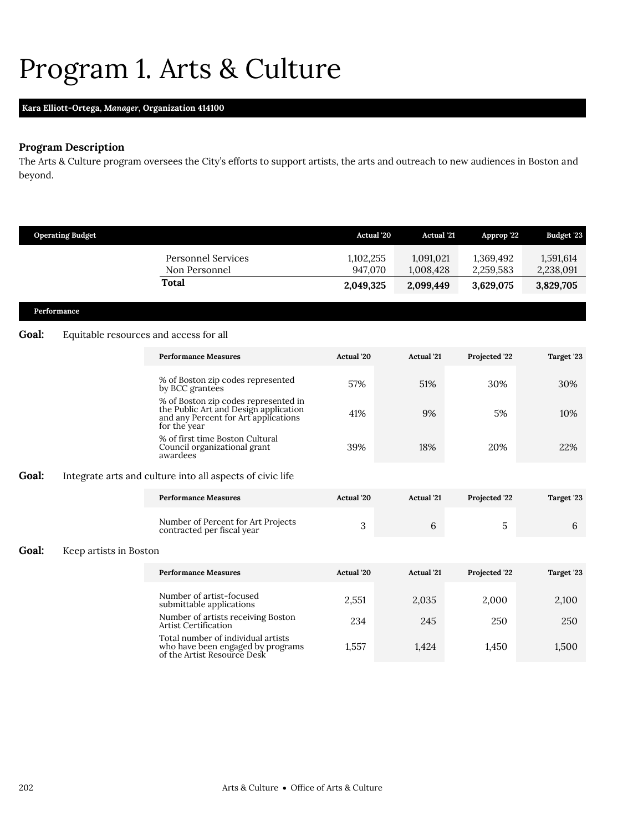## <span id="page-9-0"></span>Program 1. Arts & Culture

## **Kara Elliott-Ortega,** *Manager,* **Organization 414100**

## **Program Description**

The Arts & Culture program oversees the City's efforts to support artists, the arts and outreach to new audiences in Boston and beyond.

|       | <b>Operating Budget</b>                |                                                                                                                                       | Actual '20           | <b>Actual</b> '21      | Approp '22             | Budget '23             |
|-------|----------------------------------------|---------------------------------------------------------------------------------------------------------------------------------------|----------------------|------------------------|------------------------|------------------------|
|       |                                        | <b>Personnel Services</b><br>Non Personnel                                                                                            | 1,102,255<br>947,070 | 1,091,021<br>1,008,428 | 1,369,492<br>2,259,583 | 1,591,614<br>2,238,091 |
|       |                                        | <b>Total</b>                                                                                                                          | 2,049,325            | 2,099,449              | 3,629,075              | 3,829,705              |
|       | Performance                            |                                                                                                                                       |                      |                        |                        |                        |
| Goal: | Equitable resources and access for all |                                                                                                                                       |                      |                        |                        |                        |
|       |                                        | <b>Performance Measures</b>                                                                                                           | <b>Actual</b> '20    | <b>Actual</b> '21      | Projected '22          | Target '23             |
|       |                                        | % of Boston zip codes represented<br>by BCC grantees                                                                                  | 57%                  | 51%                    | 30%                    | 30%                    |
|       |                                        | % of Boston zip codes represented in<br>the Public Art and Design application<br>and any Percent for Art applications<br>for the year | 41%                  | 9%                     | 5%                     | 10%                    |
|       |                                        | % of first time Boston Cultural<br>Council organizational grant<br>awardees                                                           | 39%                  | 18%                    | 20%                    | 22%                    |
| Goal: |                                        | Integrate arts and culture into all aspects of civic life                                                                             |                      |                        |                        |                        |
|       |                                        | <b>Performance Measures</b>                                                                                                           | <b>Actual</b> '20    | <b>Actual</b> '21      | Projected '22          | Target '23             |
|       |                                        | Number of Percent for Art Projects<br>contracted per fiscal year                                                                      | 3                    | 6                      | 5                      | 6                      |
| Goal: | Keep artists in Boston                 |                                                                                                                                       |                      |                        |                        |                        |
|       |                                        | <b>Performance Measures</b>                                                                                                           | <b>Actual</b> '20    | <b>Actual</b> '21      | Projected '22          | Target '23             |
|       |                                        | Number of artist-focused<br>submittable applications                                                                                  | 2,551                | 2,035                  | 2,000                  | 2,100                  |
|       |                                        | Number of artists receiving Boston<br>Artist Certification                                                                            | 234                  | 245                    | 250                    | 250                    |
|       |                                        | Total number of individual artists<br>who have been engaged by programs<br>of the Artist Resource Desk                                | 1,557                | 1,424                  | 1,450                  | 1,500                  |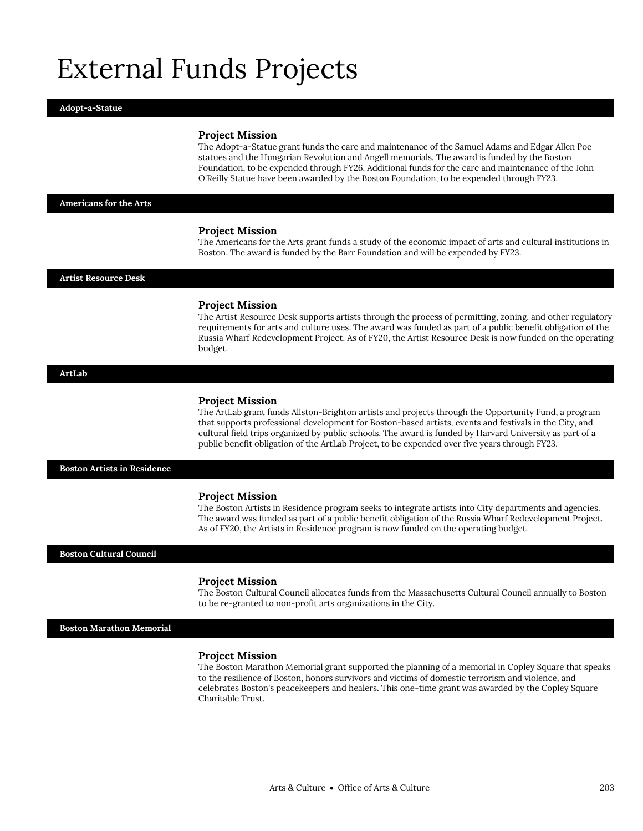## External Funds Projects

#### **Adopt-a-Statue**

#### **Project Mission**

The Adopt-a-Statue grant funds the care and maintenance of the Samuel Adams and Edgar Allen Poe statues and the Hungarian Revolution and Angell memorials. The award is funded by the Boston Foundation, to be expended through FY26. Additional funds for the care and maintenance of the John O'Reilly Statue have been awarded by the Boston Foundation, to be expended through FY23.

### **Americans for the Arts**

#### **Project Mission**

The Americans for the Arts grant funds a study of the economic impact of arts and cultural institutions in Boston. The award is funded by the Barr Foundation and will be expended by FY23.

#### **Artist Resource Desk**

#### **Project Mission**

The Artist Resource Desk supports artists through the process of permitting, zoning, and other regulatory requirements for arts and culture uses. The award was funded as part of a public benefit obligation of the Russia Wharf Redevelopment Project. As of FY20, the Artist Resource Desk is now funded on the operating budget.

#### **ArtLab**

#### **Project Mission**

The ArtLab grant funds Allston-Brighton artists and projects through the Opportunity Fund, a program that supports professional development for Boston-based artists, events and festivals in the City, and cultural field trips organized by public schools. The award is funded by Harvard University as part of a public benefit obligation of the ArtLab Project, to be expended over five years through FY23.

#### **Boston Artists in Residence**

#### **Project Mission**

The Boston Artists in Residence program seeks to integrate artists into City departments and agencies. The award was funded as part of a public benefit obligation of the Russia Wharf Redevelopment Project. As of FY20, the Artists in Residence program is now funded on the operating budget.

#### **Boston Cultural Council**

#### **Project Mission**

The Boston Cultural Council allocates funds from the Massachusetts Cultural Council annually to Boston to be re-granted to non-profit arts organizations in the City.

**Boston Marathon Memorial**

#### **Project Mission**

The Boston Marathon Memorial grant supported the planning of a memorial in Copley Square that speaks to the resilience of Boston, honors survivors and victims of domestic terrorism and violence, and celebrates Boston's peacekeepers and healers. This one-time grant was awarded by the Copley Square Charitable Trust.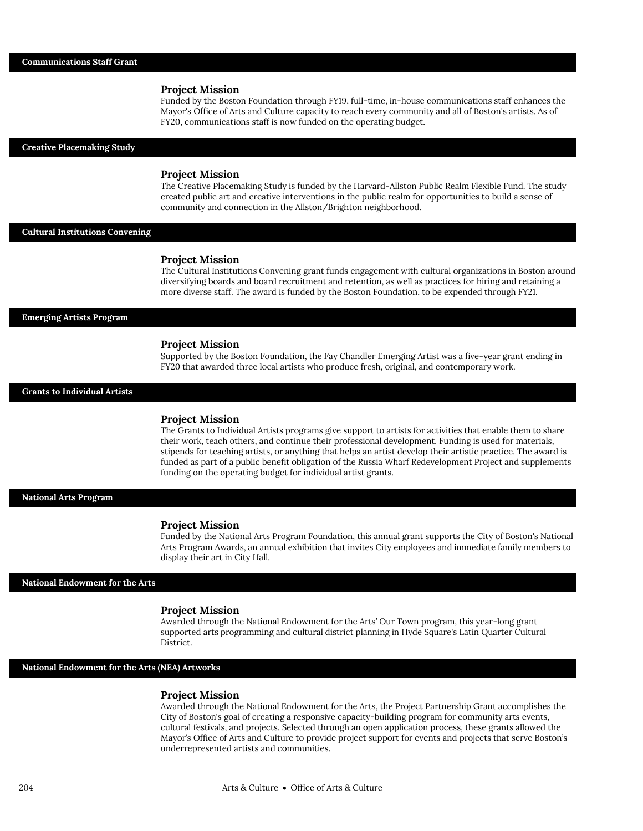#### **Project Mission**

Funded by the Boston Foundation through FY19, full-time, in-house communications staff enhances the Mayor's Office of Arts and Culture capacity to reach every community and all of Boston's artists. As of FY20, communications staff is now funded on the operating budget.

#### **Creative Placemaking Study**

#### **Project Mission**

The Creative Placemaking Study is funded by the Harvard-Allston Public Realm Flexible Fund. The study created public art and creative interventions in the public realm for opportunities to build a sense of community and connection in the Allston/Brighton neighborhood.

**Cultural Institutions Convening**

#### **Project Mission**

The Cultural Institutions Convening grant funds engagement with cultural organizations in Boston around diversifying boards and board recruitment and retention, as well as practices for hiring and retaining a more diverse staff. The award is funded by the Boston Foundation, to be expended through FY21.

#### **Emerging Artists Program**

#### **Project Mission**

Supported by the Boston Foundation, the Fay Chandler Emerging Artist was a five-year grant ending in FY20 that awarded three local artists who produce fresh, original, and contemporary work.

### **Grants to Individual Artists**

#### **Project Mission**

The Grants to Individual Artists programs give support to artists for activities that enable them to share their work, teach others, and continue their professional development. Funding is used for materials, stipends for teaching artists, or anything that helps an artist develop their artistic practice. The award is funded as part of a public benefit obligation of the Russia Wharf Redevelopment Project and supplements funding on the operating budget for individual artist grants.

#### **National Arts Program**

#### **Project Mission**

Funded by the National Arts Program Foundation, this annual grant supports the City of Boston's National Arts Program Awards, an annual exhibition that invites City employees and immediate family members to display their art in City Hall.

#### **National Endowment for the Arts**

#### **Project Mission**

Awarded through the National Endowment for the Arts' Our Town program, this year-long grant supported arts programming and cultural district planning in Hyde Square's Latin Quarter Cultural District.

#### **National Endowment for the Arts (NEA) Artworks**

#### **Project Mission**

Awarded through the National Endowment for the Arts, the Project Partnership Grant accomplishes the City of Boston's goal of creating a responsive capacity-building program for community arts events, cultural festivals, and projects. Selected through an open application process, these grants allowed the Mayor's Office of Arts and Culture to provide project support for events and projects that serve Boston's underrepresented artists and communities.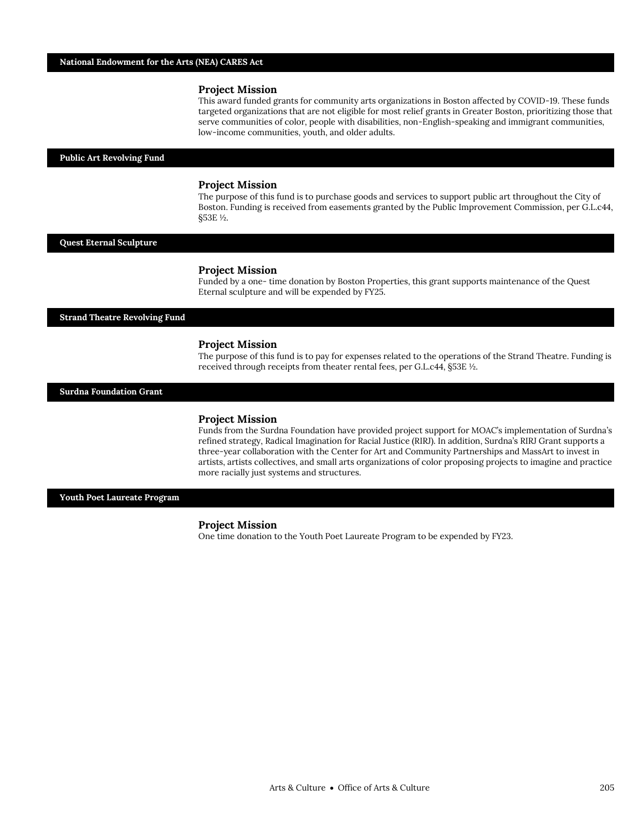#### **Project Mission**

This award funded grants for community arts organizations in Boston affected by COVID-19. These funds targeted organizations that are not eligible for most relief grants in Greater Boston, prioritizing those that serve communities of color, people with disabilities, non-English-speaking and immigrant communities, low-income communities, youth, and older adults.

#### **Public Art Revolving Fund**

#### **Project Mission**

The purpose of this fund is to purchase goods and services to support public art throughout the City of Boston. Funding is received from easements granted by the Public Improvement Commission, per G.L.c44, §53E ½.

#### **Quest Eternal Sculpture**

#### **Project Mission**

Funded by a one- time donation by Boston Properties, this grant supports maintenance of the Quest Eternal sculpture and will be expended by FY25.

#### **Strand Theatre Revolving Fund**

#### **Project Mission**

The purpose of this fund is to pay for expenses related to the operations of the Strand Theatre. Funding is received through receipts from theater rental fees, per G.L.c44, §53E ½.

**Surdna Foundation Grant**

#### **Project Mission**

Funds from the Surdna Foundation have provided project support for MOAC's implementation of Surdna's refined strategy, Radical Imagination for Racial Justice (RIRJ). In addition, Surdna's RIRJ Grant supports a three-year collaboration with the Center for Art and Community Partnerships and MassArt to invest in artists, artists collectives, and small arts organizations of color proposing projects to imagine and practice more racially just systems and structures.

#### **Youth Poet Laureate Program**

#### **Project Mission**

One time donation to the Youth Poet Laureate Program to be expended by FY23.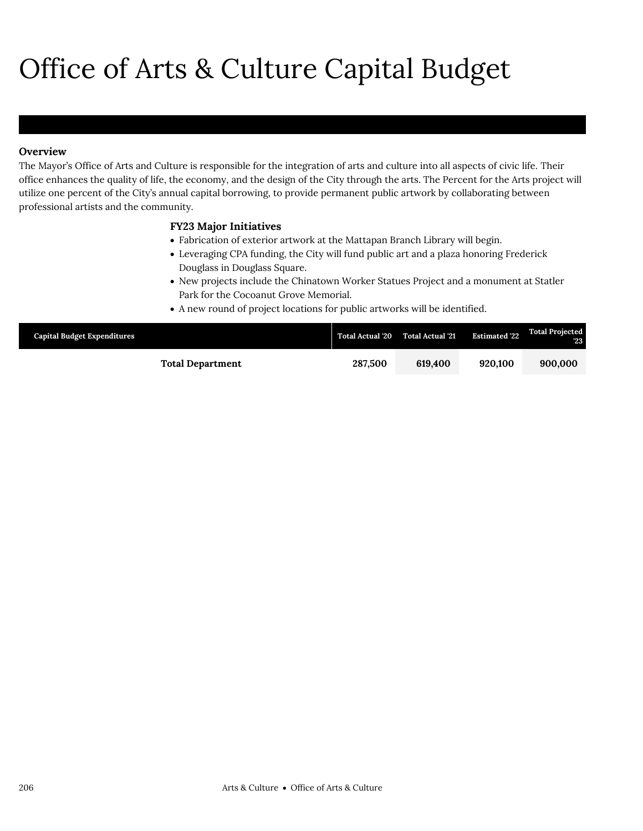# Office of Arts & Culture Capital Budget

## **Overview**

 $\mathcal{O}(\mathcal{O}_\mathcal{A})$  of  $\mathcal{O}_\mathcal{A}$  are  $\mathcal{O}_\mathcal{A}$  of  $\mathcal{O}_\mathcal{A}$ 

The Mayor's Office of Arts and Culture is responsible for the integration of arts and culture into all aspects of civic life. Their office enhances the quality of life, the economy, and the design of the City through the arts. The Percent for the Arts project will utilize one percent of the City's annual capital borrowing, to provide permanent public artwork by collaborating between professional artists and the community.

## **FY23 Major Initiatives**

- Fabrication of exterior artwork at the Mattapan Branch Library will begin.
- Leveraging CPA funding, the City will fund public art and a plaza honoring Frederick Douglass in Douglass Square.
- New projects include the Chinatown Worker Statues Project and a monument at Statler Park for the Cocoanut Grove Memorial.
- A new round of project locations for public artworks will be identified.

| <b>Capital Budget Expenditures</b> |                         | <b>Total Actual '20</b> | Total Actual '21 | <b>Estimated '22</b> | <b>Total Projected</b><br>'23' |
|------------------------------------|-------------------------|-------------------------|------------------|----------------------|--------------------------------|
|                                    | <b>Total Department</b> | 287.500                 | 619.400          | 920,100              | 900,000                        |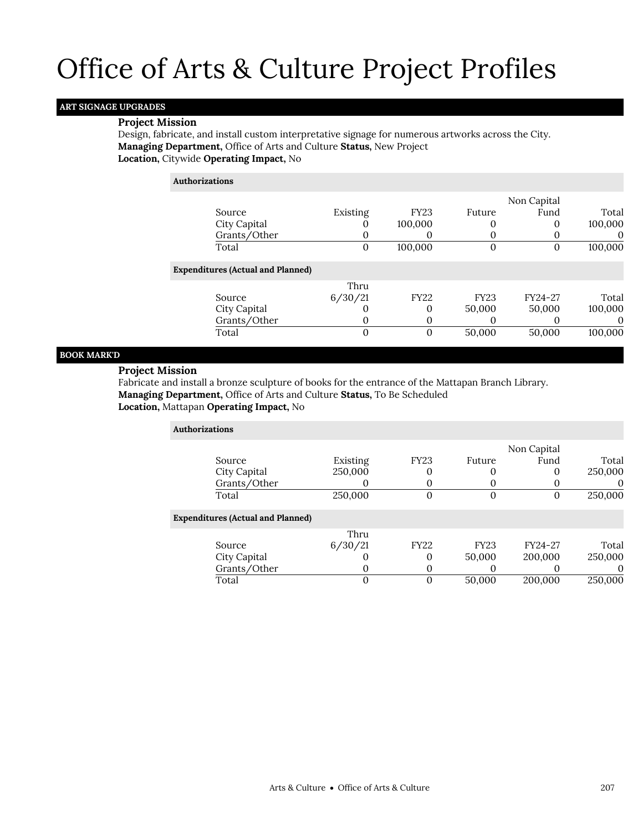## **ART SIGNAGE UPGRADES**

### **Project Mission**

Design, fabricate, and install custom interpretative signage for numerous artworks across the City. **Managing Department,** Office of Arts and Culture **Status,** New Project **Location,** Citywide **Operating Impact,** No

### **Authorizations**

|                                          |          |              |             | Non Capital |          |
|------------------------------------------|----------|--------------|-------------|-------------|----------|
| Source                                   | Existing | <b>FY23</b>  | Future      | Fund        | Total    |
| City Capital                             |          | 100,000      |             | 0           | 100,000  |
| Grants/Other                             |          |              |             |             | $\theta$ |
| Total                                    | $\Omega$ | 100,000      |             |             | 100,000  |
| <b>Expenditures (Actual and Planned)</b> |          |              |             |             |          |
|                                          | Thru     |              |             |             |          |
| Source                                   | 6/30/21  | <b>FY22</b>  | <b>FY23</b> | FY24-27     | Total    |
| City Capital                             |          | 0            | 50,000      | 50,000      | 100,000  |
| Grants/Other                             |          | $\Omega$     |             |             | $\Omega$ |
| Total                                    | 0        | $\mathbf{0}$ | 50,000      | 50,000      | 100,000  |

#### **BOOK MARK'D**

## **Project Mission**

Fabricate and install a bronze sculpture of books for the entrance of the Mattapan Branch Library. **Managing Department,** Office of Arts and Culture **Status,** To Be Scheduled

#### **Location,** Mattapan **Operating Impact,** No

| Authorizations |                                          |          |              |             |             |          |
|----------------|------------------------------------------|----------|--------------|-------------|-------------|----------|
|                |                                          |          |              |             | Non Capital |          |
|                | Source                                   | Existing | <b>FY23</b>  | Future      | Fund        | Total    |
|                | City Capital                             | 250,000  |              |             | 0           | 250,000  |
|                | Grants/Other                             |          |              |             |             | $\theta$ |
|                | Total                                    | 250,000  | $\mathbf{0}$ | $\Omega$    | 0           | 250,000  |
|                | <b>Expenditures (Actual and Planned)</b> |          |              |             |             |          |
|                |                                          | Thru     |              |             |             |          |
|                | Source                                   | 6/30/21  | <b>FY22</b>  | <b>FY23</b> | FY24-27     | Total    |
|                | City Capital                             |          | 0            | 50,000      | 200,000     | 250,000  |
|                | Grants/Other                             |          |              |             |             | $\Omega$ |
|                | Total                                    |          | 0            | 50,000      | 200,000     | 250,000  |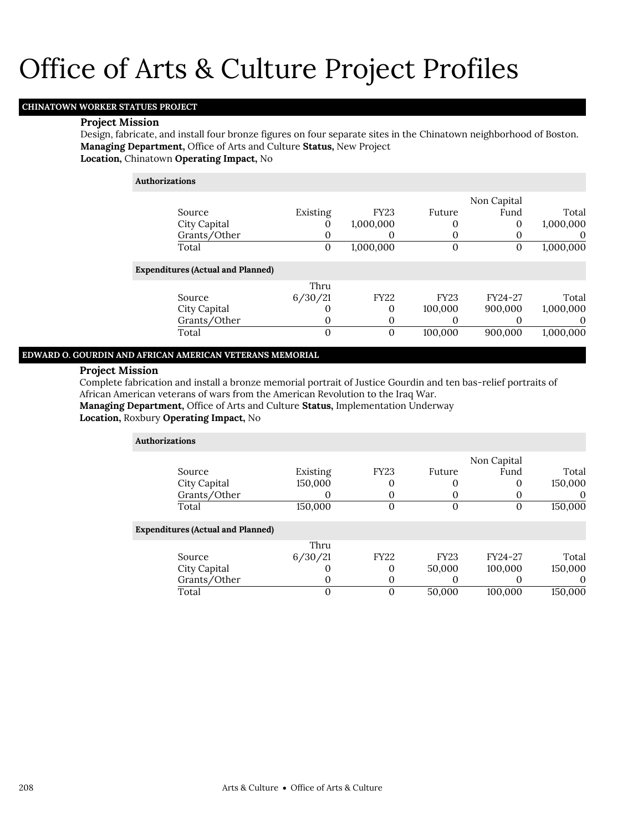## **CHINATOWN WORKER STATUES PROJECT**

### **Project Mission**

Design, fabricate, and install four bronze figures on four separate sites in the Chinatown neighborhood of Boston. **Managing Department,** Office of Arts and Culture **Status,** New Project **Location,** Chinatown **Operating Impact,** No

**Authorizations**

|                                          |          |             |             | Non Capital |           |
|------------------------------------------|----------|-------------|-------------|-------------|-----------|
| Source                                   | Existing | <b>FY23</b> | Future      | Fund        | Total     |
| City Capital                             |          | 1,000,000   | 0           | 0           | 1,000,000 |
| Grants/Other                             | 0        | O           | O           | O           | O         |
| Total                                    | O        | 1,000,000   | 0           | 0           | 1,000,000 |
| <b>Expenditures (Actual and Planned)</b> |          |             |             |             |           |
|                                          | Thru     |             |             |             |           |
| Source                                   | 6/30/21  | <b>FY22</b> | <b>FY23</b> | FY24-27     | Total     |
| City Capital                             |          | 0           | 100,000     | 900,000     | 1,000,000 |
| Grants/Other                             | 0        | 0           | 0           |             | $\theta$  |
| Total                                    | 0        | 0           | 100,000     | 900.000     | 1,000,000 |
|                                          |          |             |             |             |           |

#### **EDWARD O. GOURDIN AND AFRICAN AMERICAN VETERANS MEMORIAL**

## **Project Mission**

Complete fabrication and install a bronze memorial portrait of Justice Gourdin and ten bas-relief portraits of African American veterans of wars from the American Revolution to the Iraq War.

**Managing Department,** Office of Arts and Culture **Status,** Implementation Underway

#### **Location,** Roxbury **Operating Impact,** No

| <b>Authorizations</b>                    |          |             |             |             |          |
|------------------------------------------|----------|-------------|-------------|-------------|----------|
|                                          |          |             |             | Non Capital |          |
| Source                                   | Existing | <b>FY23</b> | Future      | Fund        | Total    |
| City Capital                             | 150,000  |             |             | 0           | 150,000  |
| Grants/Other                             |          | 0           |             |             | $\theta$ |
| Total                                    | 150,000  | $\Omega$    | $\Omega$    | $\Omega$    | 150,000  |
| <b>Expenditures (Actual and Planned)</b> |          |             |             |             |          |
|                                          | Thru     |             |             |             |          |
| Source                                   | 6/30/21  | <b>FY22</b> | <b>FY23</b> | FY24-27     | Total    |
| City Capital                             |          | 0           | 50,000      | 100,000     | 150,000  |
| Grants/Other                             | 0        | 0           |             |             | $\theta$ |
| Total                                    | 0        | 0           | 50,000      | 100,000     | 150,000  |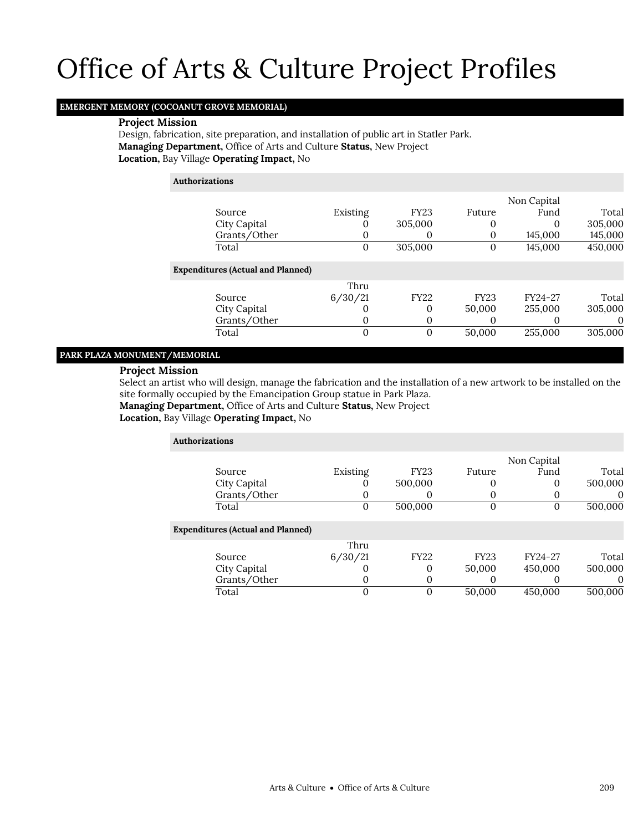## **EMERGENT MEMORY (COCOANUT GROVE MEMORIAL)**

### **Project Mission**

Design, fabrication, site preparation, and installation of public art in Statler Park. **Managing Department,** Office of Arts and Culture **Status,** New Project **Location,** Bay Village **Operating Impact,** No

### **Authorizations**

|                                          |          |             |             | Non Capital |          |
|------------------------------------------|----------|-------------|-------------|-------------|----------|
| Source                                   | Existing | <b>FY23</b> | Future      | Fund        | Total    |
| City Capital                             |          | 305,000     |             |             | 305,000  |
| Grants/Other                             |          |             | $\Omega$    | 145,000     | 145,000  |
| Total                                    | 0        | 305,000     | $\Omega$    | 145,000     | 450,000  |
| <b>Expenditures (Actual and Planned)</b> |          |             |             |             |          |
|                                          | Thru     |             |             |             |          |
| Source                                   | 6/30/21  | <b>FY22</b> | <b>FY23</b> | FY24-27     | Total    |
| City Capital                             |          | 0           | 50,000      | 255,000     | 305,000  |
| Grants/Other                             |          | 0           |             |             | $\Omega$ |
| Total                                    | $\Omega$ | $\Omega$    | 50,000      | 255,000     | 305,000  |

## **PARK PLAZA MONUMENT/MEMORIAL**

## **Project Mission**

Select an artist who will design, manage the fabrication and the installation of a new artwork to be installed on the site formally occupied by the Emancipation Group statue in Park Plaza.

**Managing Department,** Office of Arts and Culture **Status,** New Project

**Location,** Bay Village **Operating Impact,** No

| <b>Authorizations</b>                    |          |             |                   |             |          |
|------------------------------------------|----------|-------------|-------------------|-------------|----------|
|                                          |          |             |                   | Non Capital |          |
| Source                                   | Existing | <b>FY23</b> | Future            | Fund        | Total    |
| City Capital                             |          | 500,000     |                   | 0           | 500,000  |
| Grants/Other                             | O        | O           |                   |             | $\theta$ |
| Total                                    | 0        | 500,000     | 0                 | 0           | 500,000  |
| <b>Expenditures (Actual and Planned)</b> |          |             |                   |             |          |
|                                          | Thru     |             |                   |             |          |
| Source                                   | 6/30/21  | <b>FY22</b> | <b>FY23</b>       | FY24-27     | Total    |
| City Capital                             |          | 0           | 50,000            | 450,000     | 500,000  |
| Grants/Other                             | $\Omega$ | 0           | $\mathbf{\Omega}$ |             | $\Omega$ |
| Total                                    | 0        | 0           | 50,000            | 450,000     | 500,000  |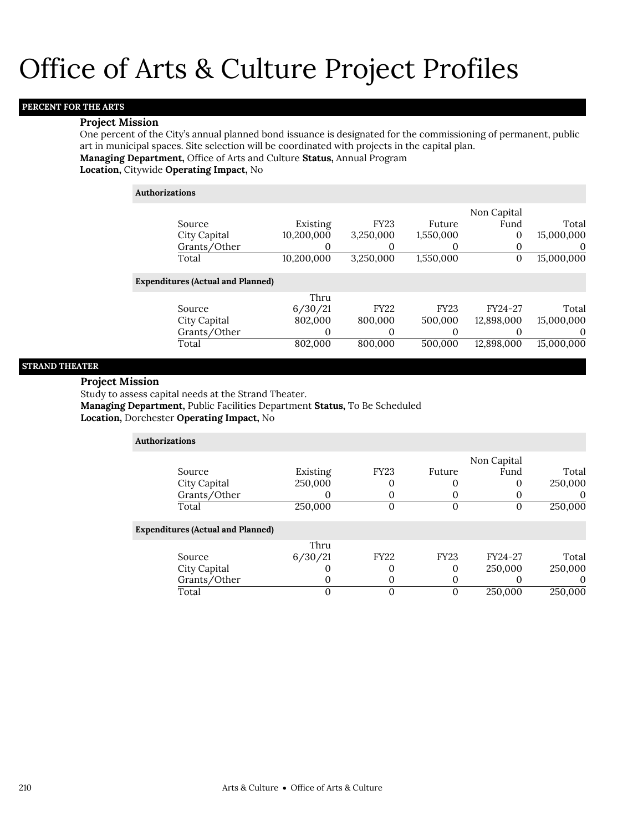## **PERCENT FOR THE ARTS**

#### **Project Mission**

One percent of the City's annual planned bond issuance is designated for the commissioning of permanent, public art in municipal spaces. Site selection will be coordinated with projects in the capital plan.

**Managing Department,** Office of Arts and Culture **Status,** Annual Program

**Location,** Citywide **Operating Impact,** No

## **Authorizations** Source Existing FY23 Future Non Capital Fund Total City Capital 10,200,000 3,250,000 1,550,000 0 15,000,000 Grants/Other 0 0 0 0 0 0 Total 10,200,000 3,250,000 1,550,000 0 15,000,000 **Expenditures (Actual and Planned)** Source Thru 6/30/21 FY22 FY23 FY24-27 Total City Capital 802,000 800,000 500,000 12,898,000 Grants/Other 0 0 0 0 0 0 Total 802,000 800,000 500,000 12,898,000 15,000,000

#### **STRAND THEATER**

#### **Project Mission**

Study to assess capital needs at the Strand Theater.

**Managing Department,** Public Facilities Department **Status,** To Be Scheduled

**Location,** Dorchester **Operating Impact,** No

| <b>Authorizations</b> |                                          |          |             |             |             |          |
|-----------------------|------------------------------------------|----------|-------------|-------------|-------------|----------|
|                       |                                          |          |             |             | Non Capital |          |
|                       | Source                                   | Existing | <b>FY23</b> | Future      | Fund        | Total    |
|                       | City Capital                             | 250,000  | 0           |             | 0           | 250,000  |
|                       | Grants/Other                             |          | 0           |             |             |          |
|                       | Total                                    | 250,000  | $\mathbf 0$ | 0           | 0           | 250,000  |
|                       | <b>Expenditures (Actual and Planned)</b> |          |             |             |             |          |
|                       |                                          | Thru     |             |             |             |          |
|                       | Source                                   | 6/30/21  | <b>FY22</b> | <b>FY23</b> | FY24-27     | Total    |
|                       | City Capital                             |          | O           | 0           | 250,000     | 250,000  |
|                       | Grants/Other                             | O        | 0           |             |             | $\theta$ |
|                       | Total                                    | 0        | $\Omega$    |             | 250,000     | 250,000  |